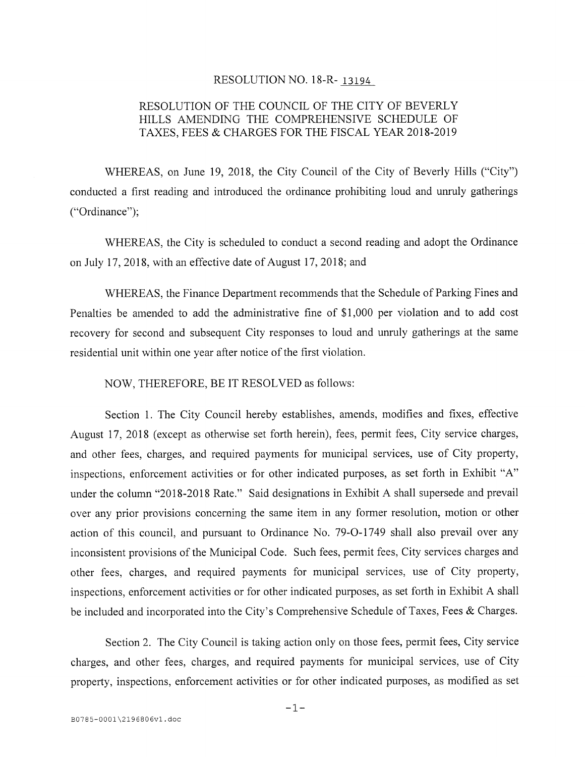## RESOLUTION NO. 18-R- 13194

## RESOLUTION OF THE COUNCIL OF THE CITY Of BEVERLY HILLS AMENDING THE COMPREHENSIVE SCHEDULE Of TAXES, FEES & CHARGES FOR THE FISCAL YEAR 2018-2019

WHEREAS, on June 19, 2018, the City Council of the City of Beverly Hills ("City") conducted a first reading and introduced the ordinance prohibiting loud and unruly gatherings ("Ordinance");

WHEREAS, the City is scheduled to conduct a second reading and adopt the Ordinance on July 17, 2018, with an effective date of August 17, 2018; and

WHEREAS, the Finance Department recommends that the Schedule of Parking fines and Penalties be amended to add the administrative fine of \$1,000 per violation and to add cost recovery for second and subsequent City responses to loud and unruly gatherings at the same residential unit within one year after notice of the first violation.

NOW, THEREFORE, BE IT RESOLVED as follows:

Section 1. The City Council hereby establishes, amends, modifies and fixes, effective August 17, 2018 (except as otherwise set forth herein), fees. permit fees, City service charges, and other fees, charges, and required payments for municipal services, use of City property, inspections, enforcement activities or for other indicated purposes, as set forth in Exhibit "A" under the column "2018-2018 Rate." Said designations in Exhibit A shall supersede and prevail over any prior provisions concerning the same item in any former resolution, motion or other action of this council, and pursuant to Ordinance No. 79-0-1749 shall also prevail over any inconsistent provisions of the Municipal Code. Such fees, permit fees, City services charges and other fees, charges, and required payments for municipal services, use of City property, inspections, enforcement activities or for other indicated purposes, as set forth in Exhibit A shall be included and incorporated into the City's Comprehensive Schedule of Taxes, Fees & Charges.

Section 2. The City Council is taking action only on those fees, permit fees, City service charges, and other fees, charges, and required payments for municipal services, use of City property, inspections, enforcement activities or for other indicated purposes, as modified as set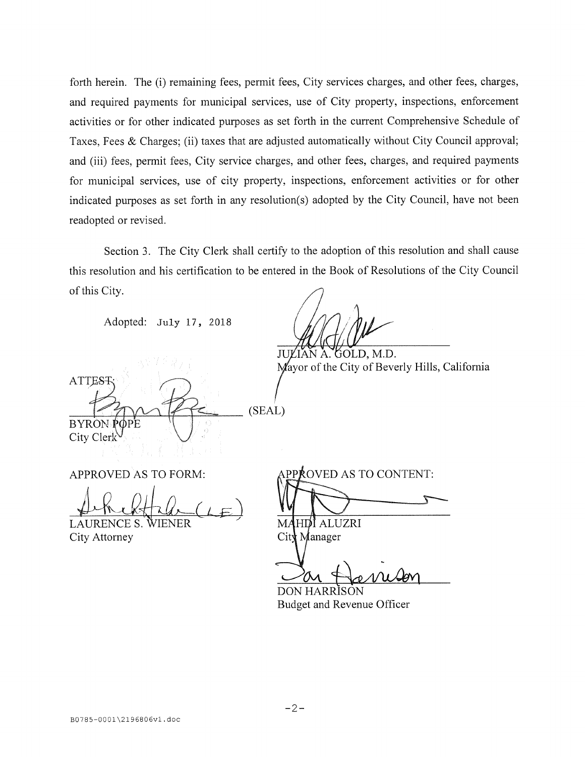forth herein. The (i) remaining fees, permit fees, City services charges, and other fees, charges, and required payments for municipal services, use of City property, inspections, enforcement activities or for other indicated purposes as set forth in the current Comprehensive Schedule of Taxes, Fees & Charges; (ii) taxes that are adjusted automatically without City Council approval; and (iii) fees, permit fees, City service charges, and other fees, charges, and required payments for municipal services, use of city property, inspections, enforcement activities or for other indicated purposes as set forth in any resolution(s) adopted by the City Council, have not been readopted or revised.

Section 3. The City Clerk shall certify to the adoption of this resolution and shall cause this resolution and his certification to be entered in the Book of Resolutions of the City Council of this City.

Adopted: July 17, 2018

JUĽIAN A. GOLD, M.D. Mayor of the City of Beverly Hills, California

 $\mathcal{L}$  at the  $\mathcal{L}$ (SEAL) **BYRON** City Clerk

LAURENCE S. WIENER MAHDI ALUZRI City Attorney City Manager

APPROVED AS TO FORM: APPROVED AS TO CONTENT:

DON HARRISON Budget and Revenue Officer